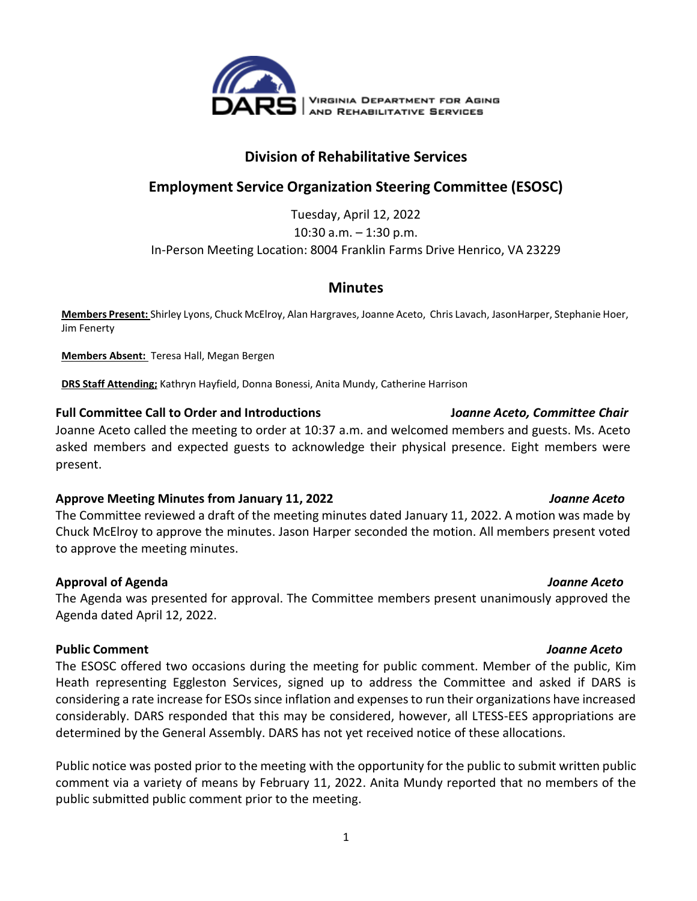

# **Division of Rehabilitative Services**

# **Employment Service Organization Steering Committee (ESOSC)**

Tuesday, April 12, 2022

10:30 a.m. – 1:30 p.m.

In-Person Meeting Location: 8004 Franklin Farms Drive Henrico, VA 23229

## **Minutes**

**Members Present:** Shirley Lyons, Chuck McElroy, Alan Hargraves, Joanne Aceto, Chris Lavach, JasonHarper, Stephanie Hoer, Jim Fenerty

**Members Absent:** Teresa Hall, Megan Bergen

**DRS Staff Attending;** Kathryn Hayfield, Donna Bonessi, Anita Mundy, Catherine Harrison

#### **Full Committee Call to Order and Introductions J***oanne Aceto, Committee Chair*

Joanne Aceto called the meeting to order at 10:37 a.m. and welcomed members and guests. Ms. Aceto asked members and expected guests to acknowledge their physical presence. Eight members were present.

### **Approve Meeting Minutes from January 11, 2022** *Joanne Aceto*

The Committee reviewed a draft of the meeting minutes dated January 11, 2022. A motion was made by Chuck McElroy to approve the minutes. Jason Harper seconded the motion. All members present voted to approve the meeting minutes.

### **Approval of Agenda** *Joanne Aceto*

The Agenda was presented for approval. The Committee members present unanimously approved the Agenda dated April 12, 2022.

### **Public Comment** *Joanne Aceto*

The ESOSC offered two occasions during the meeting for public comment. Member of the public, Kim Heath representing Eggleston Services, signed up to address the Committee and asked if DARS is considering a rate increase for ESOs since inflation and expenses to run their organizations have increased considerably. DARS responded that this may be considered, however, all LTESS-EES appropriations are determined by the General Assembly. DARS has not yet received notice of these allocations.

Public notice was posted prior to the meeting with the opportunity for the public to submit written public comment via a variety of means by February 11, 2022. Anita Mundy reported that no members of the public submitted public comment prior to the meeting.

#### 1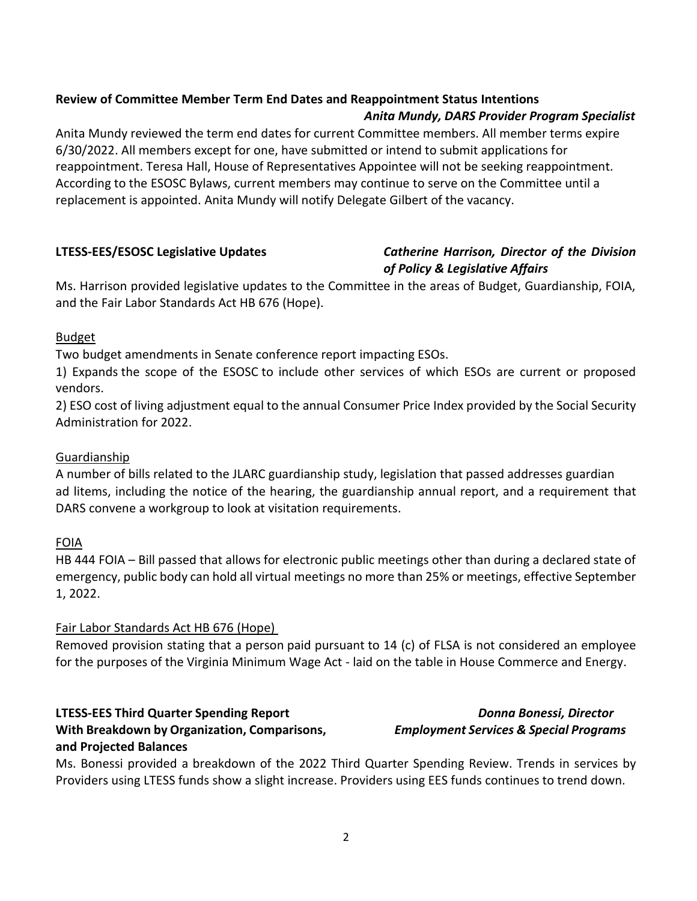## **Review of Committee Member Term End Dates and Reappointment Status Intentions** *Anita Mundy, DARS Provider Program Specialist*

Anita Mundy reviewed the term end dates for current Committee members. All member terms expire 6/30/2022. All members except for one, have submitted or intend to submit applications for reappointment. Teresa Hall, House of Representatives Appointee will not be seeking reappointment. According to the ESOSC Bylaws, current members may continue to serve on the Committee until a replacement is appointed. Anita Mundy will notify Delegate Gilbert of the vacancy.

# **LTESS-EES/ESOSC Legislative Updates** *Catherine Harrison, Director of the Division of Policy & Legislative Affairs*

Ms. Harrison provided legislative updates to the Committee in the areas of Budget, Guardianship, FOIA, and the Fair Labor Standards Act HB 676 (Hope).

## Budget

Two budget amendments in Senate conference report impacting ESOs.

1) Expands the scope of the ESOSC to include other services of which ESOs are current or proposed vendors.

2) ESO cost of living adjustment equal to the annual Consumer Price Index provided by the Social Security Administration for 2022.

### Guardianship

A number of bills related to the JLARC guardianship study, legislation that passed addresses guardian ad litems, including the notice of the hearing, the guardianship annual report, and a requirement that DARS convene a workgroup to look at visitation requirements.

### FOIA

HB 444 FOIA – Bill passed that allows for electronic public meetings other than during a declared state of emergency, public body can hold all virtual meetings no more than 25% or meetings, effective September 1, 2022.

### Fair Labor Standards Act HB 676 (Hope)

Removed provision stating that a person paid pursuant to 14 (c) of FLSA is not considered an employee for the purposes of the Virginia Minimum Wage Act - laid on the table in House Commerce and Energy.

#### **LTESS-EES Third Quarter Spending Report** *Donna Bonessi, Director*  **With Breakdown by Organization, Comparisons,** *Employment Services & Special Programs* **and Projected Balances**

Ms. Bonessi provided a breakdown of the 2022 Third Quarter Spending Review. Trends in services by Providers using LTESS funds show a slight increase. Providers using EES funds continues to trend down.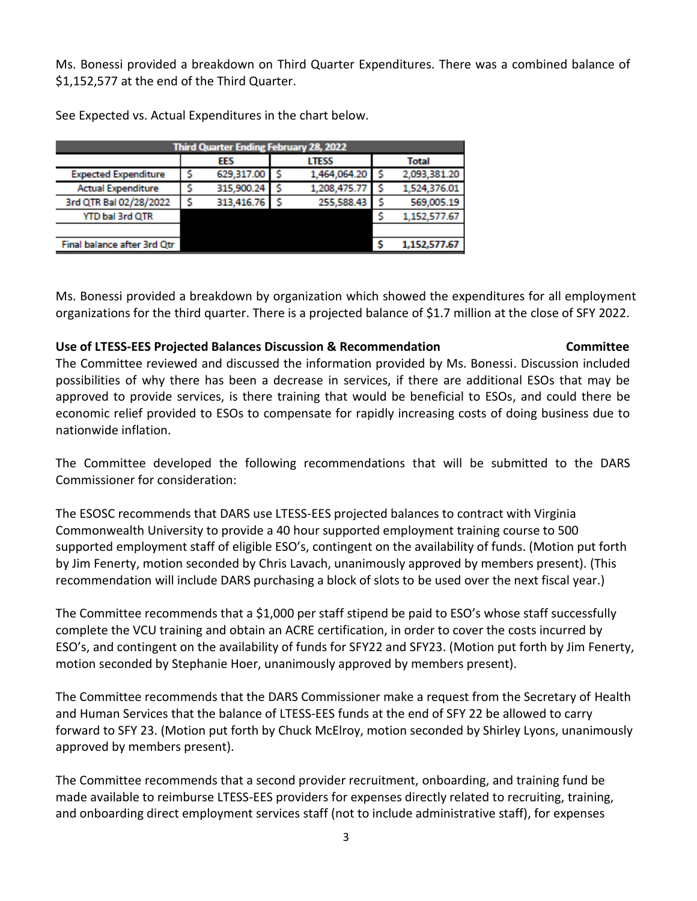Ms. Bonessi provided a breakdown on Third Quarter Expenditures. There was a combined balance of \$1,152,577 at the end of the Third Quarter.

| Third Quarter Ending February 28, 2022 |     |            |              |              |              |              |
|----------------------------------------|-----|------------|--------------|--------------|--------------|--------------|
|                                        | EES |            | <b>LTESS</b> |              | <b>Total</b> |              |
| <b>Expected Expenditure</b>            |     | 629,317.00 |              | 1,464,064.20 |              | 2,093,381.20 |
| <b>Actual Expenditure</b>              |     | 315,900.24 |              | 1,208,475.77 |              | 1,524,376.01 |
| 3rd QTR Bal 02/28/2022                 |     | 313,416.76 |              | 255,588.43   |              | 569,005.19   |
| <b>YTD bal 3rd QTR</b>                 |     |            |              |              |              | 1,152,577.67 |
|                                        |     |            |              |              |              |              |
| Final balance after 3rd Qtr            |     |            |              |              |              | 1,152,577.67 |

See Expected vs. Actual Expenditures in the chart below.

Ms. Bonessi provided a breakdown by organization which showed the expenditures for all employment organizations for the third quarter. There is a projected balance of \$1.7 million at the close of SFY 2022.

#### **Use of LTESS-EES Projected Balances Discussion & Recommendation Committee**

The Committee reviewed and discussed the information provided by Ms. Bonessi. Discussion included possibilities of why there has been a decrease in services, if there are additional ESOs that may be approved to provide services, is there training that would be beneficial to ESOs, and could there be economic relief provided to ESOs to compensate for rapidly increasing costs of doing business due to nationwide inflation.

The Committee developed the following recommendations that will be submitted to the DARS Commissioner for consideration:

The ESOSC recommends that DARS use LTESS-EES projected balances to contract with Virginia Commonwealth University to provide a 40 hour supported employment training course to 500 supported employment staff of eligible ESO's, contingent on the availability of funds. (Motion put forth by Jim Fenerty, motion seconded by Chris Lavach, unanimously approved by members present). (This recommendation will include DARS purchasing a block of slots to be used over the next fiscal year.)

The Committee recommends that a \$1,000 per staff stipend be paid to ESO's whose staff successfully complete the VCU training and obtain an ACRE certification, in order to cover the costs incurred by ESO's, and contingent on the availability of funds for SFY22 and SFY23. (Motion put forth by Jim Fenerty, motion seconded by Stephanie Hoer, unanimously approved by members present).

The Committee recommends that the DARS Commissioner make a request from the Secretary of Health and Human Services that the balance of LTESS-EES funds at the end of SFY 22 be allowed to carry forward to SFY 23. (Motion put forth by Chuck McElroy, motion seconded by Shirley Lyons, unanimously approved by members present).

The Committee recommends that a second provider recruitment, onboarding, and training fund be made available to reimburse LTESS-EES providers for expenses directly related to recruiting, training, and onboarding direct employment services staff (not to include administrative staff), for expenses